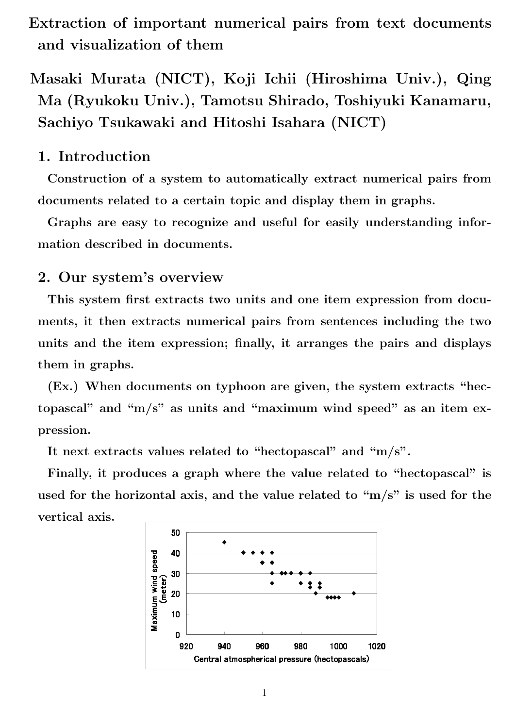- **Extraction of important numerical pairs from text documents and visualization of them**
- **Masaki Murata (NICT), Koji Ichii (Hiroshima Univ.), Qing Ma (Ryukoku Univ.), Tamotsu Shirado, Toshiyuki Kanamaru, Sachiyo Tsukawaki and Hitoshi Isahara (NICT)**

## **1. Introduction**

**Construction of a system to automatically extract numerical pairs from documents related to a certain topic and display them in graphs.**

**Graphs are easy to recognize and useful for easily understanding information described in documents.**

### **2. Our system's overview**

**This system first extracts two units and one item expression from documents, it then extracts numerical pairs from sentences including the two units and the item expression; finally, it arranges the pairs and displays them in graphs.**

**(Ex.) When documents on typhoon are given, the system extracts "hectopascal" and "m/s" as units and "maximum wind speed" as an item expression.**

**It next extracts values related to "hectopascal" and "m/s".**

**Finally, it produces a graph where the value related to "hectopascal" is used for the horizontal axis, and the value related to "m/s" is used for the vertical axis.**

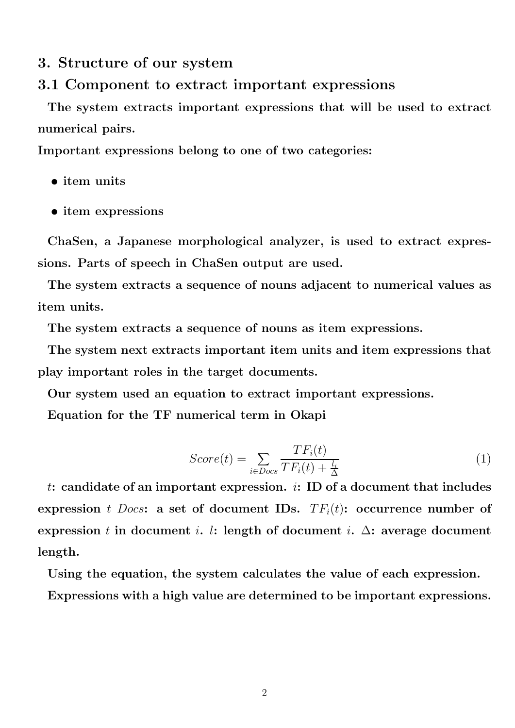### **3. Structure of our system**

### **3.1 Component to extract important expressions**

**The system extracts important expressions that will be used to extract numerical pairs.**

**Important expressions belong to one of two categories:**

- *•* **item units**
- *•* **item expressions**

**ChaSen, a Japanese morphological analyzer, is used to extract expressions. Parts of speech in ChaSen output are used.**

**The system extracts a sequence of nouns adjacent to numerical values as item units.**

**The system extracts a sequence of nouns as item expressions.**

**The system next extracts important item units and item expressions that play important roles in the target documents.**

**Our system used an equation to extract important expressions.**

**Equation for the TF numerical term in Okapi**

$$
Score(t) = \sum_{i \in Does} \frac{TF_i(t)}{TF_i(t) + \frac{l_i}{\Delta}}
$$
\n(1)

*t***: candidate of an important expression.** *i***: ID of a document that includes expression** *t Docs***:** a set of document IDs.  $TF_i(t)$ **:** occurrence number of **expression** *t* in document *i*. *l*: length of document *i*.  $\Delta$ : average document **length.**

**Using the equation, the system calculates the value of each expression.**

**Expressions with a high value are determined to be important expressions.**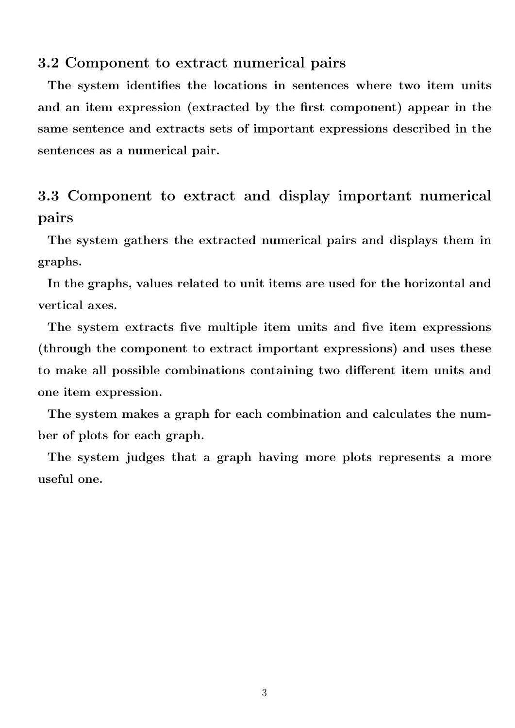#### **3.2 Component to extract numerical pairs**

**The system identifies the locations in sentences where two item units and an item expression (extracted by the first component) appear in the same sentence and extracts sets of important expressions described in the sentences as a numerical pair.**

# **3.3 Component to extract and display important numerical pairs**

**The system gathers the extracted numerical pairs and displays them in graphs.**

**In the graphs, values related to unit items are used for the horizontal and vertical axes.**

**The system extracts five multiple item units and five item expressions (through the component to extract important expressions) and uses these to make all possible combinations containing two different item units and one item expression.**

**The system makes a graph for each combination and calculates the number of plots for each graph.**

**The system judges that a graph having more plots represents a more useful one.**

3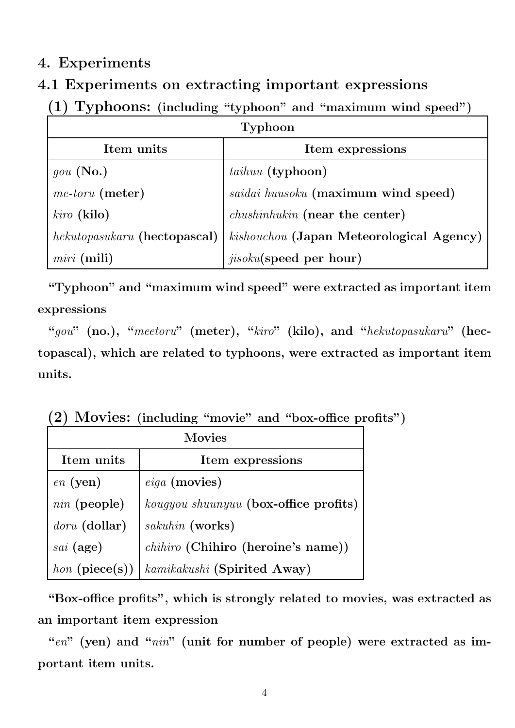# **4. Experiments**

# **4.1 Experiments on extracting important expressions**

# **(1) Typhoons: (including "typhoon" and "maximum wind speed")**

| Typhoon                      |                                          |  |  |  |
|------------------------------|------------------------------------------|--|--|--|
| Item units                   | Item expressions                         |  |  |  |
| $gou$ (No.)                  | <i>taihuu</i> (typhoon)                  |  |  |  |
| $me\text{-}toru$ (meter)     | saidai huusoku (maximum wind speed)      |  |  |  |
| $kiro$ (kilo)                | <i>chushinhukin</i> (near the center)    |  |  |  |
| hekutopasukaru (hectopascal) | kishouchou (Japan Meteorological Agency) |  |  |  |
| $miri$ (mili)                | <i>jisoku</i> (speed per hour)           |  |  |  |

**"Typhoon" and "maximum wind speed" were extracted as important item expressions**

**"***gou***" (no.), "***meetoru***" (meter), "***kiro***" (kilo), and "***hekutopasukaru***" (hectopascal), which are related to typhoons, were extracted as important item units.**

|  |  |  |  |  | (2) Movies: (including "movie" and "box-office profits") |  |  |
|--|--|--|--|--|----------------------------------------------------------|--|--|
|--|--|--|--|--|----------------------------------------------------------|--|--|

| <b>Movies</b>  |                                       |  |  |  |
|----------------|---------------------------------------|--|--|--|
| Item units     | Item expressions                      |  |  |  |
| $en$ (yen)     | $eiga$ (movies)                       |  |  |  |
| $nin$ (people) | kougyou shuunyuu (box-office profits) |  |  |  |
| doru (dollar)  | sakuhin (works)                       |  |  |  |
| $sai$ (age)    | chihiro (Chihiro (heroine's name))    |  |  |  |
| hon (piece(s)) | kamikakushi (Spirited Away)           |  |  |  |

**"Box-office profits", which is strongly related to movies, was extracted as an important item expression**

"en" (yen) and "*nin*" (unit for number of people) were extracted as im**portant item units.**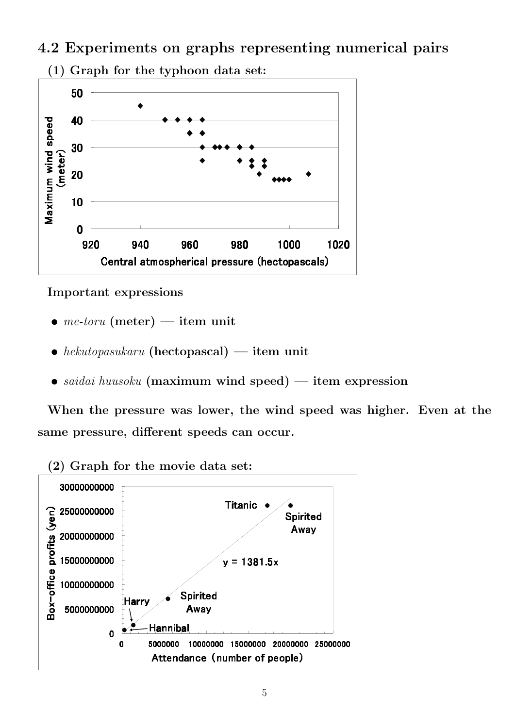**4.2 Experiments on graphs representing numerical pairs**



#### **Important expressions**

- *• me-toru* **(meter) item unit**
- *• hekutopasukaru* **(hectopascal) item unit**
- *• saidai huusoku* **(maximum wind speed) item expression**

**When the pressure was lower, the wind speed was higher. Even at the same pressure, different speeds can occur.**



**(2) Graph for the movie data set:**